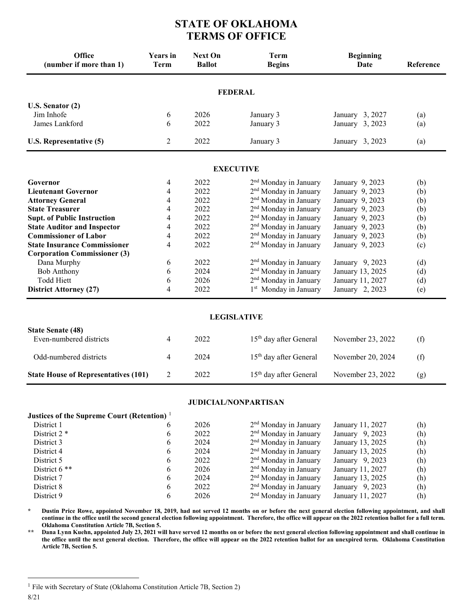## **STATE OF OKLAHOMA TERMS OF OFFICE**

| Office<br>(number if more than 1)           | <b>Years</b> in<br><b>Term</b> | <b>Next On</b><br><b>Ballot</b> | <b>Term</b><br><b>Begins</b>       | <b>Beginning</b><br><b>Date</b> | Reference |
|---------------------------------------------|--------------------------------|---------------------------------|------------------------------------|---------------------------------|-----------|
|                                             |                                |                                 | <b>FEDERAL</b>                     |                                 |           |
| U.S. Senator (2)                            |                                |                                 |                                    |                                 |           |
| Jim Inhofe                                  | 6                              | 2026                            | January 3                          | January 3, 2027                 | (a)       |
| James Lankford                              | 6                              | 2022                            | January 3                          | January 3, 2023                 | (a)       |
| U.S. Representative (5)                     | $\overline{2}$                 | 2022                            | January 3                          | January 3, 2023                 | (a)       |
|                                             |                                |                                 | <b>EXECUTIVE</b>                   |                                 |           |
| Governor                                    | 4                              | 2022                            | 2 <sup>nd</sup> Monday in January  | January 9, 2023                 | (b)       |
| <b>Lieutenant Governor</b>                  | 4                              | 2022                            | 2 <sup>nd</sup> Monday in January  | January 9, 2023                 | (b)       |
| <b>Attorney General</b>                     | 4                              | 2022                            | 2 <sup>nd</sup> Monday in January  | January 9, 2023                 | (b)       |
| <b>State Treasurer</b>                      | 4                              | 2022                            | 2 <sup>nd</sup> Monday in January  | January 9, 2023                 | (b)       |
| <b>Supt. of Public Instruction</b>          | 4                              | 2022                            | 2 <sup>nd</sup> Monday in January  | January 9, 2023                 | (b)       |
| <b>State Auditor and Inspector</b>          | 4                              | 2022                            | 2 <sup>nd</sup> Monday in January  | January 9, 2023                 | (b)       |
| <b>Commissioner of Labor</b>                | 4                              | 2022                            | 2 <sup>nd</sup> Monday in January  | January 9, 2023                 | (b)       |
| <b>State Insurance Commissioner</b>         | 4                              | 2022                            | 2 <sup>nd</sup> Monday in January  | January 9, 2023                 | (c)       |
| <b>Corporation Commissioner (3)</b>         |                                |                                 |                                    |                                 |           |
| Dana Murphy                                 | 6                              | 2022                            | 2 <sup>nd</sup> Monday in January  | January 9, 2023                 | (d)       |
| <b>Bob Anthony</b>                          | 6                              | 2024                            | 2 <sup>nd</sup> Monday in January  | January 13, 2025                | (d)       |
| <b>Todd Hiett</b>                           | 6                              | 2026                            | 2 <sup>nd</sup> Monday in January  | January 11, 2027                | (d)       |
| <b>District Attorney (27)</b>               | 4                              | 2022                            | 1 <sup>st</sup> Monday in January  | January 2, 2023                 | (e)       |
|                                             |                                |                                 | <b>LEGISLATIVE</b>                 |                                 |           |
| <b>State Senate (48)</b>                    |                                |                                 |                                    |                                 |           |
| Even-numbered districts                     | 4                              | 2022                            | 15 <sup>th</sup> day after General | November 23, 2022               | (f)       |
| Odd-numbered districts                      | 4                              | 2024                            | 15 <sup>th</sup> day after General | November 20, 2024               | (f)       |
| <b>State House of Representatives (101)</b> | $\overline{2}$                 | 2022                            | 15 <sup>th</sup> day after General | November 23, 2022               | (g)       |

## **JUDICIAL/NONPARTISAN**

| Justices of the Supreme Court (Retention) <sup>1</sup> |   |      |                                   |                   |     |
|--------------------------------------------------------|---|------|-----------------------------------|-------------------|-----|
| District 1                                             | 6 | 2026 | $2nd$ Monday in January           | January 11, 2027  | (h) |
| District 2 <sup>*</sup>                                | 6 | 2022 | 2 <sup>nd</sup> Monday in January | January $9, 2023$ | (h) |
| District 3                                             | 6 | 2024 | 2 <sup>nd</sup> Monday in January | January 13, 2025  | (h) |
| District 4                                             | 6 | 2024 | $2nd$ Monday in January           | January 13, 2025  | (h) |
| District 5                                             | 6 | 2022 | $2nd$ Monday in January           | January $9,2023$  | (h) |
| District $6$ **                                        | 6 | 2026 | 2 <sup>nd</sup> Monday in January | January 11, 2027  | (h) |
| District 7                                             | 6 | 2024 | $2nd$ Monday in January           | January 13, 2025  | (h) |
| District 8                                             | 6 | 2022 | 2 <sup>nd</sup> Monday in January | January 9, 2023   | (h) |
| District 9                                             | 6 | 2026 | 2 <sup>nd</sup> Monday in January | January 11, 2027  | (h) |

**\* Dustin Price Rowe, appointed November 18, 2019, had not served 12 months on or before the next general election following appointment, and shall continue in the office until the second general election following appointment. Therefore, the office will appear on the 2022 retention ballot for a full term. Oklahoma Constitution Article 7B, Section 5.**

**\*\* Dana Lynn Kuehn, appointed July 23, 2021 will have served 12 months on or before the next general election following appointment and shall continue in the office until the next general election. Therefore, the office will appear on the 2022 retention ballot for an unexpired term. Oklahoma Constitution Article 7B, Section 5.**

<span id="page-0-0"></span><sup>8/21</sup> <sup>1</sup> File with Secretary of State (Oklahoma Constitution Article 7B, Section 2)